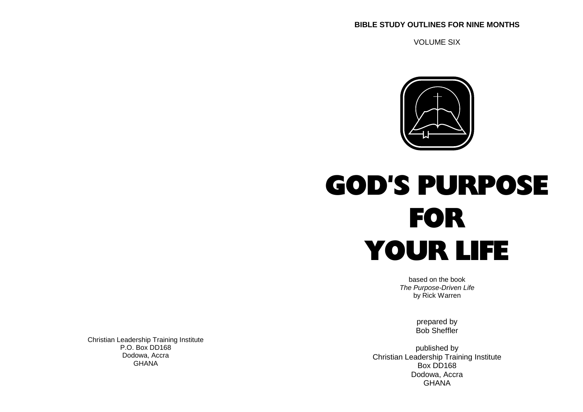### **BIBLE STUDY OUTLINES FOR NINE MONTHS**

VOLUME SIX



# GOD'S PURPOSEFORYOUR LIFE

based on the book The Purpose-Driven Lifeby Rick Warren

> prepared byBob Sheffler

 published by Christian Leadership Training InstituteGHANA Box DD168 Box DD168 Dodowa, AccraGHANA

Christian Leadership Training InstituteP.O. Box DD168Dodowa, Accra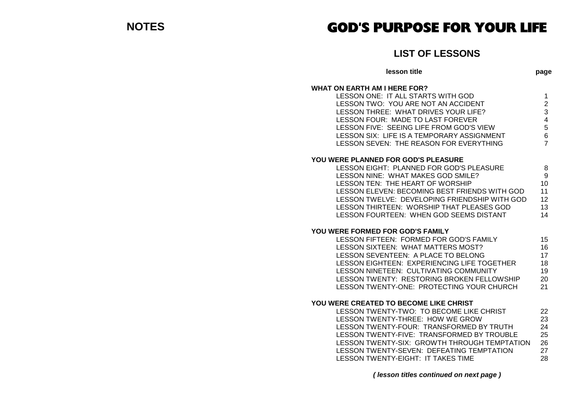## GOD'S PURPOSE FOR YOUR LIFE

**LIST OF LESSONS**

| LIJI UI LLJJUINJ                                                                                                                                                                                                                                                                                                                                                  |                                                                                 |
|-------------------------------------------------------------------------------------------------------------------------------------------------------------------------------------------------------------------------------------------------------------------------------------------------------------------------------------------------------------------|---------------------------------------------------------------------------------|
| lesson title                                                                                                                                                                                                                                                                                                                                                      | page                                                                            |
| <b>WHAT ON EARTH AM I HERE FOR?</b><br>LESSON ONE: IT ALL STARTS WITH GOD<br>LESSON TWO: YOU ARE NOT AN ACCIDENT<br>LESSON THREE: WHAT DRIVES YOUR LIFE?<br>LESSON FOUR: MADE TO LAST FOREVER<br>LESSON FIVE: SEEING LIFE FROM GOD'S VIEW<br>LESSON SIX: LIFE IS A TEMPORARY ASSIGNMENT<br>LESSON SEVEN: THE REASON FOR EVERYTHING                                | 1<br>$\overline{c}$<br>3<br>$\overline{\mathbf{4}}$<br>5<br>6<br>$\overline{7}$ |
| <b>YOU WERE PLANNED FOR GOD'S PLEASURE</b><br>LESSON EIGHT: PLANNED FOR GOD'S PLEASURE<br>LESSON NINE: WHAT MAKES GOD SMILE?<br><b>LESSON TEN: THE HEART OF WORSHIP</b><br>LESSON ELEVEN: BECOMING BEST FRIENDS WITH GOD<br>LESSON TWELVE: DEVELOPING FRIENDSHIP WITH GOD<br>LESSON THIRTEEN: WORSHIP THAT PLEASES GOD<br>LESSON FOURTEEN: WHEN GOD SEEMS DISTANT | 8<br>9<br>10<br>11<br>12<br>13<br>14                                            |
| <b>YOU WERE FORMED FOR GOD'S FAMILY</b><br>LESSON FIFTEEN: FORMED FOR GOD'S FAMILY<br>LESSON SIXTEEN: WHAT MATTERS MOST?<br>LESSON SEVENTEEN: A PLACE TO BELONG<br>LESSON EIGHTEEN: EXPERIENCING LIFE TOGETHER<br>LESSON NINETEEN: CULTIVATING COMMUNITY<br>LESSON TWENTY: RESTORING BROKEN FELLOWSHIP<br>LESSON TWENTY-ONE: PROTECTING YOUR CHURCH               | 15<br>16<br>17<br>18<br>19<br>20<br>21                                          |
| YOU WERE CREATED TO BECOME LIKE CHRIST<br>LESSON TWENTY-TWO: TO BECOME LIKE CHRIST<br>LESSON TWENTY-THREE: HOW WE GROW<br>LESSON TWENTY-FOUR: TRANSFORMED BY TRUTH<br>LESSON TWENTY-FIVE: TRANSFORMED BY TROUBLE<br>LESSON TWENTY-SIX: GROWTH THROUGH TEMPTATION<br>LESSON TWENTY-SEVEN: DEFEATING TEMPTATION<br>LESSON TWENTY-EIGHT: IT TAKES TIME               | 22<br>23<br>24<br>25<br>26<br>27<br>28                                          |
|                                                                                                                                                                                                                                                                                                                                                                   |                                                                                 |

**( lesson titles continued on next page )**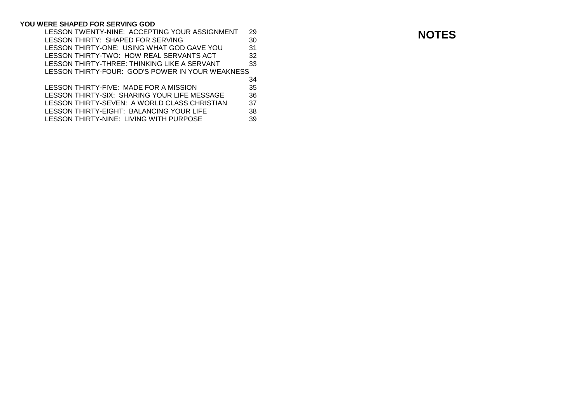### **YOU WERE SHAPED FOR SERVING GOD**

| 29                                               | <b>NOTE</b> |
|--------------------------------------------------|-------------|
| 30                                               |             |
| 31                                               |             |
| 32                                               |             |
| 33                                               |             |
| LESSON THIRTY-FOUR: GOD'S POWER IN YOUR WEAKNESS |             |
| 34                                               |             |
| 35                                               |             |
| 36                                               |             |
| 37                                               |             |
| 38                                               |             |
| 39                                               |             |
|                                                  |             |

**NOTES**